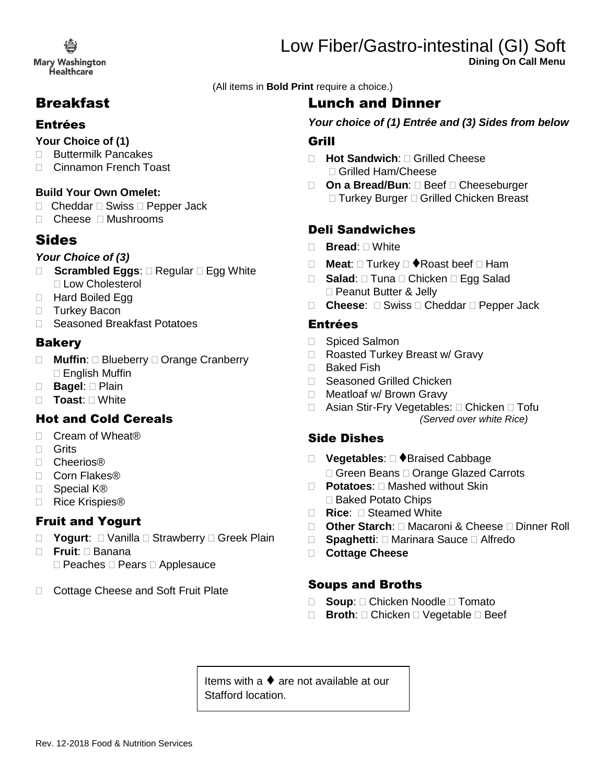**Mary Washington** Healthcare

# Breakfast

### Entrées

#### **Your Choice of (1)**

- □ Buttermilk Pancakes
- □ Cinnamon French Toast

#### **Build Your Own Omelet:**

- $\Box$  Cheddar  $\Box$  Swiss  $\Box$  Pepper Jack
- □ Cheese □ Mushrooms

## Sides

#### *Your Choice of (3)*

- □ **Scrambled Eggs**: □ Regular □ Egg White □ Low Cholesterol
- □ Hard Boiled Egg
- □ Turkey Bacon
- □ Seasoned Breakfast Potatoes

### **Bakery**

- □ Muffin: □ Blueberry □ Orange Cranberry  $\Box$  English Muffin
- □ **Bagel**: □ Plain
- **Toast**: White

## Hot and Cold Cereals

- □ Cream of Wheat<sup>®</sup>
- □ Grits
- □ Cheerios®
- □ Corn Flakes®
- □ Special K<sup>®</sup>
- □ Rice Krispies®

## Fruit and Yogurt

- □ Yogurt: □ Vanilla □ Strawberry □ Greek Plain
- **Fruit**: Banana  $\Box$  Peaches  $\Box$  Pears  $\Box$  Applesauce
- □ Cottage Cheese and Soft Fruit Plate

Low Fiber/Gastro-intestinal (GI) Soft **Dining On Call Menu**

(All items in **Bold Print** require a choice.)

# Lunch and Dinner

*Your choice of (1) Entrée and (3) Sides from below*

### Grill

- **Hot Sandwich**: Grilled Cheese □ Grilled Ham/Cheese
- □ On a Bread/Bun: □ Beef □ Cheeseburger □ Turkey Burger □ Grilled Chicken Breast

## Deli Sandwiches

- **Bread**: White
- **Meat:**  $\Box$  Turkey  $\Box$  **Neat:**  $\Box$  Ham
- □ Salad: □ Tuna □ Chicken □ Egg Salad □ Peanut Butter & Jelly
- □ **Cheese**: □ Swiss □ Cheddar □ Pepper Jack

### Entrées

- □ Spiced Salmon
- □ Roasted Turkey Breast w/ Gravy
- □ Baked Fish
- □ Seasoned Grilled Chicken
- □ Meatloaf w/ Brown Gravy
- □ Asian Stir-Fry Vegetables: □ Chicken □ Tofu *(Served over white Rice)*

## Side Dishes

- □ Vegetables: □ ◆Braised Cabbage □ Green Beans □ Orange Glazed Carrots
- **Potatoes**: Mashed without Skin □ Baked Potato Chips
- **Rice:** □ Steamed White
- **Other Starch**: Macaroni & Cheese Dinner Roll
- □ **Spaghetti**: □ Marinara Sauce □ Alfredo
- **Cottage Cheese**

### Soups and Broths

- □ **Soup**: □ Chicken Noodle □ Tomato
- □ Broth: □ Chicken □ Vegetable □ Beef

Items with a ♦ are not available at our Stafford location.